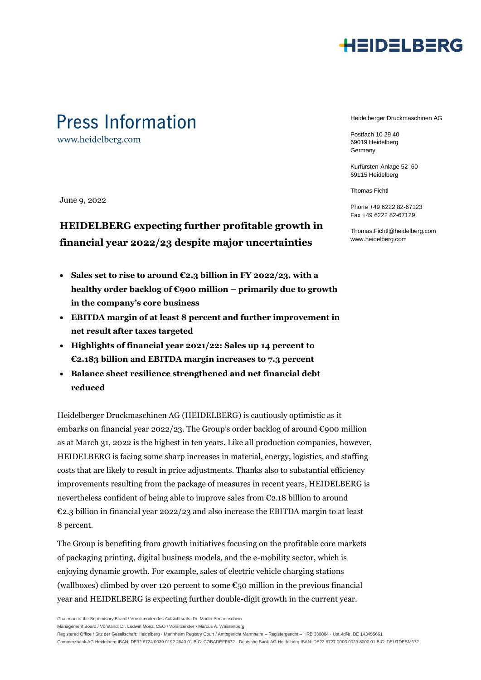

### **Press Information**

www.heidelberg.com

June 9, 2022

### **HEIDELBERG expecting further profitable growth in financial year 2022/23 despite major uncertainties**

- **Sales set to rise to around €2.3 billion in FY 2022/23, with a healthy order backlog of €900 million – primarily due to growth in the company's core business**
- **EBITDA margin of at least 8 percent and further improvement in net result after taxes targeted**
- **Highlights of financial year 2021/22: Sales up 14 percent to €2.183 billion and EBITDA margin increases to 7.3 percent**
- **Balance sheet resilience strengthened and net financial debt reduced**

Heidelberger Druckmaschinen AG (HEIDELBERG) is cautiously optimistic as it embarks on financial year 2022/23. The Group's order backlog of around  $\epsilon$ 900 million as at March 31, 2022 is the highest in ten years. Like all production companies, however, HEIDELBERG is facing some sharp increases in material, energy, logistics, and staffing costs that are likely to result in price adjustments. Thanks also to substantial efficiency improvements resulting from the package of measures in recent years, HEIDELBERG is nevertheless confident of being able to improve sales from €2.18 billion to around €2.3 billion in financial year 2022/23 and also increase the EBITDA margin to at least 8 percent.

The Group is benefiting from growth initiatives focusing on the profitable core markets of packaging printing, digital business models, and the e-mobility sector, which is enjoying dynamic growth. For example, sales of electric vehicle charging stations (wallboxes) climbed by over 120 percent to some  $\epsilon_{50}$  million in the previous financial year and HEIDELBERG is expecting further double-digit growth in the current year.

Management Board / Vorstand: Dr. Ludwin Monz, CEO / Vorsitzender • Marcus A. Wassenberg

Registered Office / Sitz der Gesellschaft: Heidelberg · Mannheim Registry Court / Amtsgericht Mannheim – Registergericht – HRB 330004 · Ust.-IdNr. DE 143455661

Commerzbank AG Heidelberg IBAN: DE32 6724 0039 0192 2640 01 BIC: COBADEFF672 · Deutsche Bank AG Heidelberg IBAN: DE22 6727 0003 0029 8000 01 BIC: DEUTDESM672

Heidelberger Druckmaschinen AG

Postfach 10 29 40 69019 Heidelberg Germany

Kurfürsten-Anlage 52–60 69115 Heidelberg

Thomas Fichtl

Phone +49 6222 82-67123 Fax +49 6222 82-67129

Thomas.Fichtl@heidelberg.com www.heidelberg.com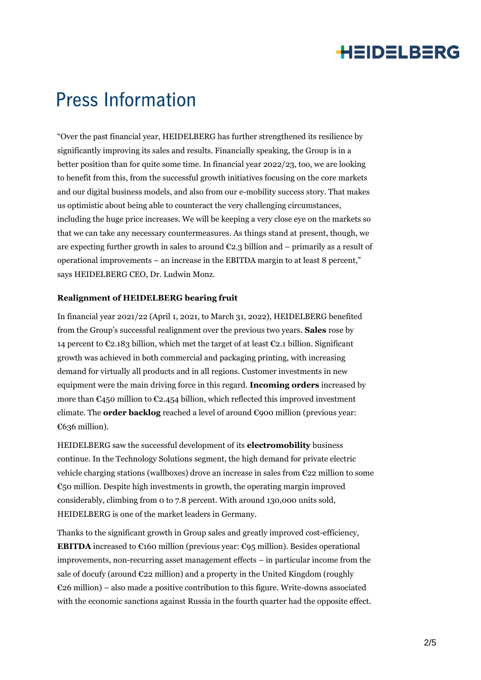### HEIDELBERG

## **Press Information**

"Over the past financial year, HEIDELBERG has further strengthened its resilience by significantly improving its sales and results. Financially speaking, the Group is in a better position than for quite some time. In financial year 2022/23, too, we are looking to benefit from this, from the successful growth initiatives focusing on the core markets and our digital business models, and also from our e-mobility success story. That makes us optimistic about being able to counteract the very challenging circumstances, including the huge price increases. We will be keeping a very close eye on the markets so that we can take any necessary countermeasures. As things stand at present, though, we are expecting further growth in sales to around  $E2.3$  billion and – primarily as a result of operational improvements – an increase in the EBITDA margin to at least 8 percent," says HEIDELBERG CEO, Dr. Ludwin Monz.

#### **Realignment of HEIDELBERG bearing fruit**

In financial year 2021/22 (April 1, 2021, to March 31, 2022), HEIDELBERG benefited from the Group's successful realignment over the previous two years. **Sales** rose by 14 percent to  $\mathcal{C}_2$ .183 billion, which met the target of at least  $\mathcal{C}_2$ .1 billion. Significant growth was achieved in both commercial and packaging printing, with increasing demand for virtually all products and in all regions. Customer investments in new equipment were the main driving force in this regard. **Incoming orders** increased by more than  $\epsilon$ 450 million to  $\epsilon$ 2.454 billion, which reflected this improved investment climate. The **order backlog** reached a level of around €900 million (previous year: €636 million).

HEIDELBERG saw the successful development of its **electromobility** business continue. In the Technology Solutions segment, the high demand for private electric vehicle charging stations (wallboxes) drove an increase in sales from €22 million to some  $\epsilon$ <sub>50</sub> million. Despite high investments in growth, the operating margin improved considerably, climbing from 0 to 7.8 percent. With around 130,000 units sold, HEIDELBERG is one of the market leaders in Germany.

Thanks to the significant growth in Group sales and greatly improved cost-efficiency, **EBITDA** increased to  $\mathfrak{C}$ 160 million (previous year:  $\mathfrak{C}$ 95 million). Besides operational improvements, non-recurring asset management effects – in particular income from the sale of docufy (around €22 million) and a property in the United Kingdom (roughly  $E_2$ 6 million) – also made a positive contribution to this figure. Write-downs associated with the economic sanctions against Russia in the fourth quarter had the opposite effect.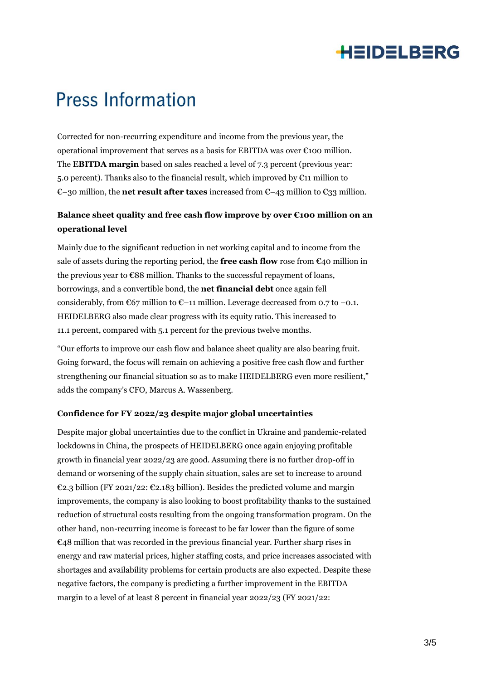### **HEIDELBERG**

## **Press Information**

Corrected for non-recurring expenditure and income from the previous year, the operational improvement that serves as a basis for EBITDA was over €100 million. The **EBITDA margin** based on sales reached a level of 7.3 percent (previous year: 5.0 percent). Thanks also to the financial result, which improved by  $\mathfrak{C}11$  million to €–30 million, the **net result after taxes** increased from €–43 million to €33 million.

### **Balance sheet quality and free cash flow improve by over €100 million on an operational level**

Mainly due to the significant reduction in net working capital and to income from the sale of assets during the reporting period, the **free cash flow** rose from  $\mathfrak{C}_4$ 0 million in the previous year to €88 million. Thanks to the successful repayment of loans, borrowings, and a convertible bond, the **net financial debt** once again fell considerably, from  $\mathfrak{C}67$  million to  $\mathfrak{C}-11$  million. Leverage decreased from 0.7 to  $-0.1$ . HEIDELBERG also made clear progress with its equity ratio. This increased to 11.1 percent, compared with 5.1 percent for the previous twelve months.

"Our efforts to improve our cash flow and balance sheet quality are also bearing fruit. Going forward, the focus will remain on achieving a positive free cash flow and further strengthening our financial situation so as to make HEIDELBERG even more resilient," adds the company's CFO, Marcus A. Wassenberg.

#### **Confidence for FY 2022/23 despite major global uncertainties**

Despite major global uncertainties due to the conflict in Ukraine and pandemic-related lockdowns in China, the prospects of HEIDELBERG once again enjoying profitable growth in financial year 2022/23 are good. Assuming there is no further drop-off in demand or worsening of the supply chain situation, sales are set to increase to around €2.3 billion (FY 2021/22: €2.183 billion). Besides the predicted volume and margin improvements, the company is also looking to boost profitability thanks to the sustained reduction of structural costs resulting from the ongoing transformation program. On the other hand, non-recurring income is forecast to be far lower than the figure of some €48 million that was recorded in the previous financial year. Further sharp rises in energy and raw material prices, higher staffing costs, and price increases associated with shortages and availability problems for certain products are also expected. Despite these negative factors, the company is predicting a further improvement in the EBITDA margin to a level of at least 8 percent in financial year 2022/23 (FY 2021/22: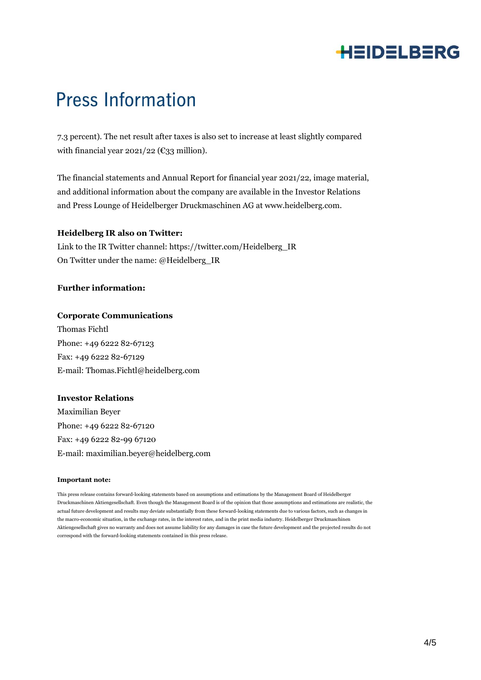### **HEIDELBERG**

## **Press Information**

7.3 percent). The net result after taxes is also set to increase at least slightly compared with financial year  $2021/22$  ( $\epsilon$ 33 million).

The financial statements and Annual Report for financial year 2021/22, image material, and additional information about the company are available in the Investor Relations and Press Lounge of Heidelberger Druckmaschinen AG at www.heidelberg.com.

#### **Heidelberg IR also on Twitter:**

Link to the IR Twitter channel: https://twitter.com/Heidelberg\_IR On Twitter under the name: @Heidelberg\_IR

#### **Further information:**

#### **Corporate Communications**

Thomas Fichtl Phone: +49 6222 82-67123 Fax: +49 6222 82-67129 E-mail: Thomas.Fichtl@heidelberg.com

#### **Investor Relations**

Maximilian Beyer Phone: +49 6222 82-67120 Fax: +49 6222 82-99 67120 E-mail: maximilian.beyer@heidelberg.com

#### **Important note:**

This press release contains forward-looking statements based on assumptions and estimations by the Management Board of Heidelberger Druckmaschinen Aktiengesellschaft. Even though the Management Board is of the opinion that those assumptions and estimations are realistic, the actual future development and results may deviate substantially from these forward-looking statements due to various factors, such as changes in the macro-economic situation, in the exchange rates, in the interest rates, and in the print media industry. Heidelberger Druckmaschinen Aktiengesellschaft gives no warranty and does not assume liability for any damages in case the future development and the projected results do not correspond with the forward-looking statements contained in this press release.